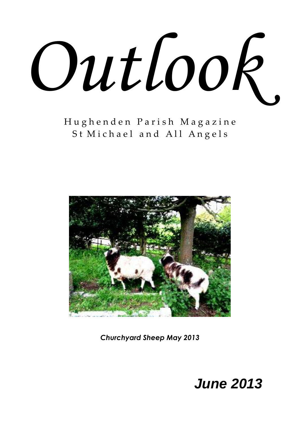

H u g h e n d e n P a r i s h M a g a z i n e St Michael and All Angels



*Churchyard Sheep May 2013*

# *June 2013*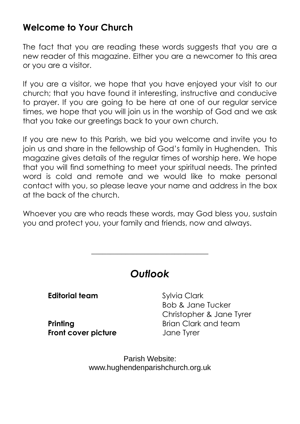# **Welcome to Your Church**

The fact that you are reading these words suggests that you are a new reader of this magazine. Either you are a newcomer to this area or you are a visitor.

If you are a visitor, we hope that you have enjoyed your visit to our church; that you have found it interesting, instructive and conducive to prayer. If you are going to be here at one of our regular service times, we hope that you will join us in the worship of God and we ask that you take our greetings back to your own church.

If you are new to this Parish, we bid you welcome and invite you to join us and share in the fellowship of God's family in Hughenden. This magazine gives details of the regular times of worship here. We hope that you will find something to meet your spiritual needs. The printed word is cold and remote and we would like to make personal contact with you, so please leave your name and address in the box at the back of the church.

Whoever you are who reads these words, may God bless you, sustain you and protect you, your family and friends, now and always.

# *Outlook*

\_\_\_\_\_\_\_\_\_\_\_\_\_\_\_\_\_\_\_\_\_\_\_\_\_\_\_\_\_\_\_

**Editorial team** Sylvia Clark

**Front cover picture** Jane Tyrer

Bob & Jane Tucker Christopher & Jane Tyrer **Printing Brian Clark and team** 

> Parish Website: www.hughendenparishchurch.org.uk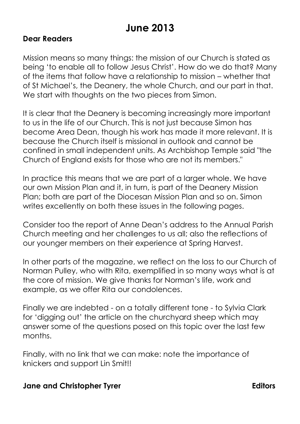# **June 2013**

#### **Dear Readers**

Mission means so many things: the mission of our Church is stated as being 'to enable all to follow Jesus Christ'. How do we do that? Many of the items that follow have a relationship to mission – whether that of St Michael's, the Deanery, the whole Church, and our part in that. We start with thoughts on the two pieces from Simon.

It is clear that the Deanery is becoming increasingly more important to us in the life of our Church. This is not just because Simon has become Area Dean, though his work has made it more relevant. It is because the Church itself is missional in outlook and cannot be confined in small independent units. As Archbishop Temple said "the Church of England exists for those who are not its members."

In practice this means that we are part of a larger whole. We have our own Mission Plan and it, in turn, is part of the Deanery Mission Plan; both are part of the Diocesan Mission Plan and so on. Simon writes excellently on both these issues in the following pages.

Consider too the report of Anne Dean's address to the Annual Parish Church meeting and her challenges to us all; also the reflections of our younger members on their experience at Spring Harvest.

In other parts of the magazine, we reflect on the loss to our Church of Norman Pulley, who with Rita, exemplified in so many ways what is at the core of mission. We give thanks for Norman's life, work and example, as we offer Rita our condolences.

Finally we are indebted - on a totally different tone - to Sylvia Clark for 'digging out' the article on the churchyard sheep which may answer some of the questions posed on this topic over the last few months.

Finally, with no link that we can make: note the importance of knickers and support Lin Smit!!

#### **Jane and Christopher Tyrer Editors** Editors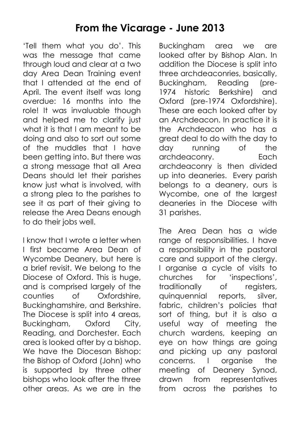# **From the Vicarage - June 2013**

'Tell them what you do'. This was the message that came through loud and clear at a two day Area Dean Training event that I attended at the end of April. The event itself was long overdue: 16 months into the role! It was invaluable though and helped me to clarify just what it is that I am meant to be doing and also to sort out some of the muddles that I have been getting into. But there was a strong message that all Area Deans should let their parishes know just what is involved, with a strong plea to the parishes to see it as part of their giving to release the Area Deans enough to do their jobs well.

I know that I wrote a letter when I first became Area Dean of Wycombe Deanery, but here is a brief revisit. We belong to the Diocese of Oxford. This is huge, and is comprised largely of the counties of Oxfordshire, Buckinghamshire, and Berkshire. The Diocese is split into 4 areas, Buckingham, Oxford City, Reading, and Dorchester. Each area is looked after by a bishop. We have the Diocesan Bishop: the Bishop of Oxford (John) who is supported by three other bishops who look after the three other areas. As we are in the

Buckingham area we are looked after by Bishop Alan. In addition the Diocese is split into three archdeaconries, basically, Buckingham, Reading (pre-1974 historic Berkshire) and Oxford (pre-1974 Oxfordshire). These are each looked after by an Archdeacon. In practice it is the Archdeacon who has a great deal to do with the day to day running of the archdeaconry. Each archdeaconry is then divided up into deaneries. Every parish belongs to a deanery, ours is Wycombe, one of the largest deaneries in the Diocese with 31 parishes.

The Area Dean has a wide range of responsibilities. I have a responsibility in the pastoral care and support of the clergy. I organise a cycle of visits to churches for 'inspections', traditionally of registers, quinquennial reports, silver, fabric, children's policies that sort of thing, but it is also a useful way of meeting the church wardens, keeping an eye on how things are going and picking up any pastoral concerns. I organise the meeting of Deanery Synod, drawn from representatives from across the parishes to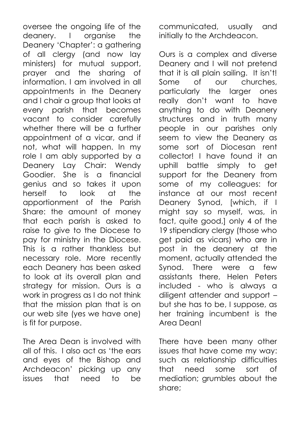oversee the ongoing life of the deanery. I organise the Deanery 'Chapter': a gathering of all clergy (and now lay ministers) for mutual support, prayer and the sharing of information. I am involved in all appointments in the Deanery and I chair a group that looks at every parish that becomes vacant to consider carefully whether there will be a further appointment of a vicar, and if not, what will happen. In my role I am ably supported by a Deanery Lay Chair: Wendy Goodier. She is a financial genius and so takes it upon herself to look at the apportionment of the Parish Share: the amount of money that each parish is asked to raise to give to the Diocese to pay for ministry in the Diocese. This is a rather thankless but necessary role. More recently each Deanery has been asked to look at its overall plan and strategy for mission. Ours is a work in progress as I do not think that the mission plan that is on our web site (yes we have one) is fit for purpose.

The Area Dean is involved with all of this. I also act as 'the ears and eyes of the Bishop and Archdeacon' picking up any issues that need to be

communicated, usually and initially to the Archdeacon.

Ours is a complex and diverse Deanery and I will not pretend that it is all plain sailing. It isn't! Some of our churches, particularly the larger ones really don't want to have anything to do with Deanery structures and in truth many people in our parishes only seem to view the Deanery as some sort of Diocesan rent collector! I have found it an uphill battle simply to get support for the Deanery from some of my colleagues: for instance at our most recent Deanery Synod, [which, if I might say so myself, was, in fact, quite good,] only 4 of the 19 stipendiary clergy (those who get paid as vicars) who are in post in the deanery at the moment, actually attended the Synod. There were a few assistants there, Helen Peters included - who is always a diligent attender and support – but she has to be, I suppose, as her training incumbent is the Area Dean!

There have been many other issues that have come my way: such as relationship difficulties that need some sort of mediation; grumbles about the share;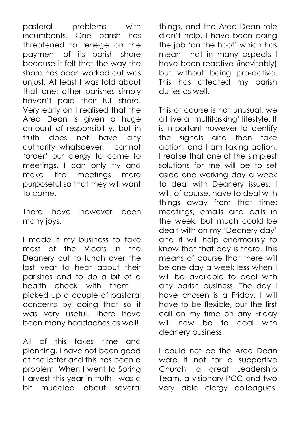pastoral problems with incumbents. One parish has threatened to renege on the payment of its parish share because it felt that the way the share has been worked out was unjust. At least I was told about that one; other parishes simply haven't paid their full share. Very early on I realised that the Area Dean is given a huge amount of responsibility, but in truth does not have any authority whatsoever. I cannot 'order' our clergy to come to meetings, I can only try and make the meetings more purposeful so that they will want to come.

There have however been many joys.

I made it my business to take most of the Vicars in the Deanery out to lunch over the last year to hear about their parishes and to do a bit of a health check with them. I picked up a couple of pastoral concerns by doing that so it was very useful. There have been many headaches as well!

All of this takes time and planning. I have not been good at the latter and this has been a problem. When I went to Spring Harvest this year in truth I was a bit muddled about several things, and the Area Dean role didn't help. I have been doing the job 'on the hoof' which has meant that in many aspects I have been reactive (inevitably) but without being pro-active. This has affected my parish duties as well.

This of course is not unusual: we all live a 'multitasking' lifestyle. It is important however to identify the signals and then take action, and I am taking action. I realise that one of the simplest solutions for me will be to set aside one working day a week to deal with Deanery issues. I will, of course, have to deal with things away from that time: meetings, emails and calls in the week, but much could be dealt with on my 'Deanery day' and it will help enormously to know that that day is there. This means of course that there will be one day a week less when I will be available to deal with any parish business. The day I have chosen is a Friday. I will have to be flexible, but the first call on my time on any Friday will now be to deal with deanery business.

I could not be the Area Dean were it not for a supportive Church, a great Leadership Team, a visionary PCC and two very able clergy colleagues.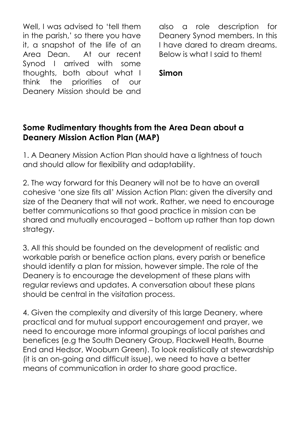Well, I was advised to 'tell them in the parish,' so there you have it, a snapshot of the life of an Area Dean. At our recent Synod I arrived with some thoughts, both about what I think the priorities of our Deanery Mission should be and

also a role description for Deanery Synod members. In this I have dared to dream dreams. Below is what I said to them!

#### **Simon**

#### **Some Rudimentary thoughts from the Area Dean about a Deanery Mission Action Plan (MAP)**

1. A Deanery Mission Action Plan should have a lightness of touch and should allow for flexibility and adaptability.

2. The way forward for this Deanery will not be to have an overall cohesive 'one size fits all' Mission Action Plan: given the diversity and size of the Deanery that will not work. Rather, we need to encourage better communications so that good practice in mission can be shared and mutually encouraged – bottom up rather than top down strategy.

3. All this should be founded on the development of realistic and workable parish or benefice action plans, every parish or benefice should identify a plan for mission, however simple. The role of the Deanery is to encourage the development of these plans with regular reviews and updates. A conversation about these plans should be central in the visitation process.

4. Given the complexity and diversity of this large Deanery, where practical and for mutual support encouragement and prayer, we need to encourage more informal groupings of local parishes and benefices (e.g the South Deanery Group, Flackwell Heath, Bourne End and Hedsor, Wooburn Green). To look realistically at stewardship (it is an on-going and difficult issue), we need to have a better means of communication in order to share good practice.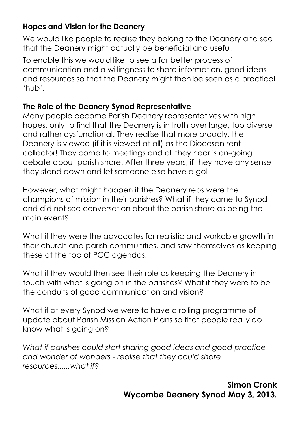## **Hopes and Vision for the Deanery**

We would like people to realise they belong to the Deanery and see that the Deanery might actually be beneficial and useful!

To enable this we would like to see a far better process of communication and a willingness to share information, good ideas and resources so that the Deanery might then be seen as a practical 'hub'.

#### **The Role of the Deanery Synod Representative**

Many people become Parish Deanery representatives with high hopes, only to find that the Deanery is in truth over large, too diverse and rather dysfunctional. They realise that more broadly, the Deanery is viewed (if it is viewed at all) as the Diocesan rent collector! They come to meetings and all they hear is on-going debate about parish share. After three years, if they have any sense they stand down and let someone else have a go!

However, what might happen if the Deanery reps were the champions of mission in their parishes? What if they came to Synod and did not see conversation about the parish share as being the main event?

What if they were the advocates for realistic and workable growth in their church and parish communities, and saw themselves as keeping these at the top of PCC agendas.

What if they would then see their role as keeping the Deanery in touch with what is going on in the parishes? What if they were to be the conduits of good communication and vision?

What if at every Synod we were to have a rolling programme of update about Parish Mission Action Plans so that people really do know what is going on?

*What if parishes could start sharing good ideas and good practice and wonder of wonders - realise that they could share resources......what if?* 

> **Simon Cronk Wycombe Deanery Synod May 3, 2013.**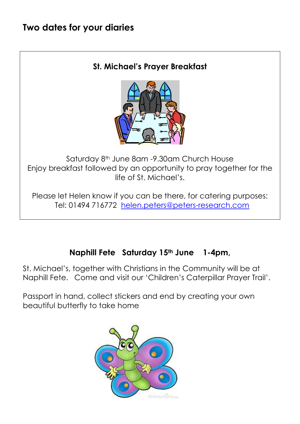# **Two dates for your diaries**

#### **St. Michael's Prayer Breakfast**



Saturday 8<sup>th</sup> June 8am -9.30am Church House Enjoy breakfast followed by an opportunity to pray together for the life of St. Michael's.

Please let Helen know if you can be there, for catering purposes: Tel: 01494 716772 [helen.peters@peters-research.com](mailto:helen.peters@peters-research.com)

## **Naphill Fete Saturday 15th June 1-4pm,**

St. Michael's, together with Christians in the Community will be at Naphill Fete. Come and visit our 'Children's Caterpillar Prayer Trail'.

Passport in hand, collect stickers and end by creating your own beautiful butterfly to take home

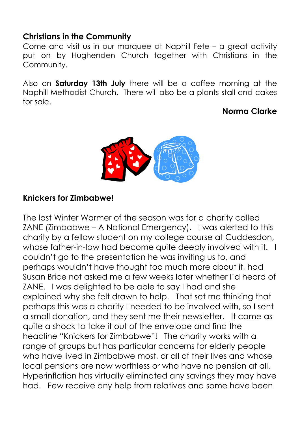## **Christians in the Community**

Come and visit us in our marquee at Naphill Fete – a great activity put on by Hughenden Church together with Christians in the Community.

Also on **Saturday 13th July** there will be a coffee morning at the Naphill Methodist Church. There will also be a plants stall and cakes for sale.

## **Norma Clarke**



## **Knickers for Zimbabwe!**

The last Winter Warmer of the season was for a charity called ZANE (Zimbabwe – A National Emergency). I was alerted to this charity by a fellow student on my college course at Cuddesdon, whose father-in-law had become quite deeply involved with it. I couldn't go to the presentation he was inviting us to, and perhaps wouldn't have thought too much more about it, had Susan Brice not asked me a few weeks later whether I'd heard of ZANE. I was delighted to be able to say I had and she explained why she felt drawn to help. That set me thinking that perhaps this was a charity I needed to be involved with, so I sent a small donation, and they sent me their newsletter. It came as quite a shock to take it out of the envelope and find the headline "Knickers for Zimbabwe"! The charity works with a range of groups but has particular concerns for elderly people who have lived in Zimbabwe most, or all of their lives and whose local pensions are now worthless or who have no pension at all. Hyperinflation has virtually eliminated any savings they may have had. Few receive any help from relatives and some have been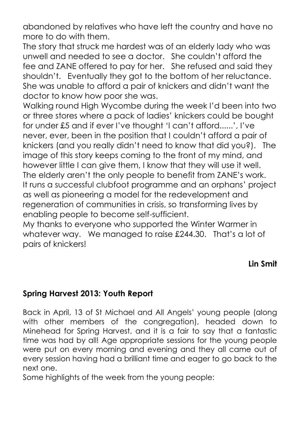abandoned by relatives who have left the country and have no more to do with them.

The story that struck me hardest was of an elderly lady who was unwell and needed to see a doctor. She couldn't afford the fee and ZANE offered to pay for her. She refused and said they shouldn't. Eventually they got to the bottom of her reluctance. She was unable to afford a pair of knickers and didn't want the doctor to know how poor she was.

Walking round High Wycombe during the week I'd been into two or three stores where a pack of ladies' knickers could be bought for under £5 and if ever I've thought 'I can't afford......', I've never, ever, been in the position that I couldn't afford a pair of knickers (and you really didn't need to know that did you?). The image of this story keeps coming to the front of my mind, and however little I can give them, I know that they will use it well. The elderly aren't the only people to benefit from ZANE's work. It runs a successful clubfoot programme and an orphans' project as well as pioneering a model for the redevelopment and regeneration of communities in crisis, so transforming lives by enabling people to become self-sufficient.

My thanks to everyone who supported the Winter Warmer in whatever way. We managed to raise £244.30. That's a lot of pairs of knickers!

## **Lin Smit**

## **Spring Harvest 2013: Youth Report**

Back in April, 13 of St Michael and All Angels' young people (along with other members of the congregation), headed down to Minehead for Spring Harvest, and it is a fair to say that a fantastic time was had by all! Age appropriate sessions for the young people were put on every morning and evening and they all came out of every session having had a brilliant time and eager to go back to the next one.

Some highlights of the week from the young people: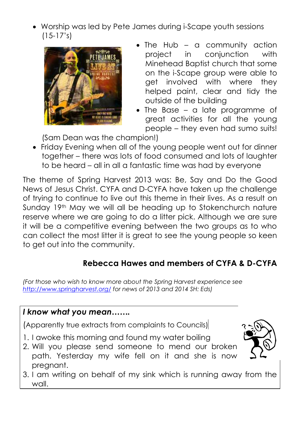Worship was led by Pete James during i-Scape youth sessions  $(15-17's)$ 



- The Hub a community action project in conjunction with Minehead Baptist church that some on the i-Scape group were able to get involved with where they helped paint, clear and tidy the outside of the building
- The Base a late programme of great activities for all the young people – they even had sumo suits!

(Sam Dean was the champion!)

 Friday Evening when all of the young people went out for dinner together – there was lots of food consumed and lots of laughter to be heard – all in all a fantastic time was had by everyone

The theme of Spring Harvest 2013 was: Be, Say and Do the Good News of Jesus Christ. CYFA and D-CYFA have taken up the challenge of trying to continue to live out this theme in their lives. As a result on Sunday 19<sup>th</sup> May we will all be heading up to Stokenchurch nature reserve where we are going to do a litter pick. Although we are sure it will be a competitive evening between the two groups as to who can collect the most litter it is great to see the young people so keen to get out into the community.

# **Rebecca Hawes and members of CYFA & D-CYFA**

*(For those who wish to know more about the Spring Harvest experience see <http://www.springharvest.org/> for news of 2013 and 2014 SH: Eds)*

## *I know what you mean…….*

(Apparently true extracts from complaints to Councils)

- 1. I awoke this morning and found my water boiling
- 2. Will you please send someone to mend our broken path. Yesterday my wife fell on it and she is now pregnant.
- 3. I am writing on behalf of my sink which is running away from the wall.

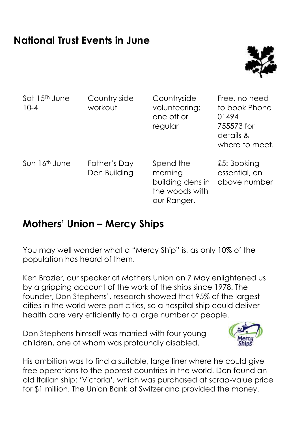

| Sat 15 <sup>Th</sup> June<br>$10 - 4$ | Country side<br>workout      | Countryside<br>volunteering:<br>one off or<br>regular                     | Free, no need<br>to book Phone<br>01494<br>755573 for<br>details &<br>where to meet. |
|---------------------------------------|------------------------------|---------------------------------------------------------------------------|--------------------------------------------------------------------------------------|
| Sun 16 <sup>th</sup> June             | Father's Day<br>Den Building | Spend the<br>morning<br>building dens in<br>the woods with<br>our Ranger. | £5: Booking<br>essential, on<br>above number                                         |

# **Mothers' Union – Mercy Ships**

You may well wonder what a "Mercy Ship" is, as only 10% of the population has heard of them.

Ken Brazier, our speaker at Mothers Union on 7 May enlightened us by a gripping account of the work of the ships since 1978. The founder, Don Stephens', research showed that 95% of the largest cities in the world were port cities, so a hospital ship could deliver health care very efficiently to a large number of people.

Don Stephens himself was married with four young children, one of whom was profoundly disabled.



His ambition was to find a suitable, large liner where he could give free operations to the poorest countries in the world. Don found an old Italian ship: 'Victoria', which was purchased at scrap-value price for \$1 million. The Union Bank of Switzerland provided the money.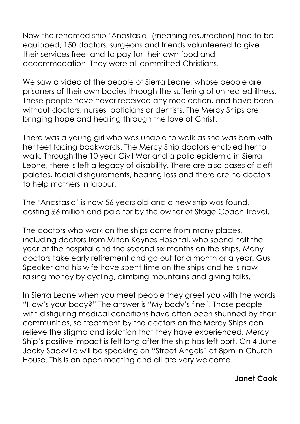Now the renamed ship 'Anastasia' (meaning resurrection) had to be equipped, 150 doctors, surgeons and friends volunteered to give their services free, and to pay for their own food and accommodation. They were all committed Christians.

We saw a video of the people of Sierra Leone, whose people are prisoners of their own bodies through the suffering of untreated illness. These people have never received any medication, and have been without doctors, nurses, opticians or dentists. The Mercy Ships are bringing hope and healing through the love of Christ.

There was a young girl who was unable to walk as she was born with her feet facing backwards. The Mercy Ship doctors enabled her to walk. Through the 10 year Civil War and a polio epidemic in Sierra Leone, there is left a legacy of disability. There are also cases of cleft palates, facial disfigurements, hearing loss and there are no doctors to help mothers in labour.

The 'Anastasia' is now 56 years old and a new ship was found, costing £6 million and paid for by the owner of Stage Coach Travel.

The doctors who work on the ships come from many places, including doctors from Milton Keynes Hospital, who spend half the year at the hospital and the second six months on the ships. Many doctors take early retirement and go out for a month or a year. Gus Speaker and his wife have spent time on the ships and he is now raising money by cycling, climbing mountains and giving talks.

In Sierra Leone when you meet people they greet you with the words "How's your body?" The answer is "My body's fine". Those people with disfiguring medical conditions have often been shunned by their communities, so treatment by the doctors on the Mercy Ships can relieve the stigma and isolation that they have experienced. Mercy Ship's positive impact is felt long after the ship has left port. On 4 June Jacky Sackville will be speaking on "Street Angels" at 8pm in Church House. This is an open meeting and all are very welcome.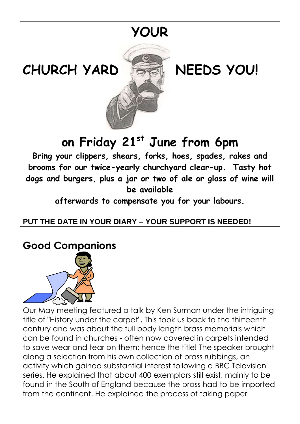

**CHURCH YARD NEEDS YOU!**



**on Friday 21st June from 6pm**

**Bring your clippers, shears, forks, hoes, spades, rakes and brooms for our twice-yearly churchyard clear-up. Tasty hot dogs and burgers, plus a jar or two of ale or glass of wine will be available** 

**afterwards to compensate you for your labours.**

# **PUT THE DATE IN YOUR DIARY – YOUR SUPPORT IS NEEDED!**

# **Good Companions**



Our May meeting featured a talk by Ken Surman under the intriguing title of "History under the carpet". This took us back to the thirteenth century and was about the full body length brass memorials which can be found in churches - often now covered in carpets intended to save wear and tear on them: hence the title! The speaker brought along a selection from his own collection of brass rubbings, an activity which gained substantial interest following a BBC Television series. He explained that about 400 exemplars still exist, mainly to be found in the South of England because the brass had to be imported from the continent. He explained the process of taking paper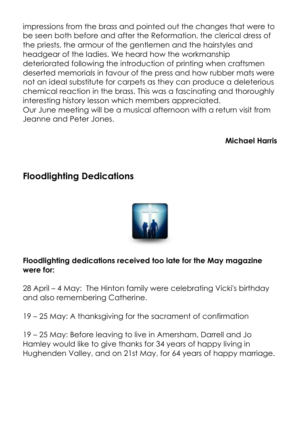impressions from the brass and pointed out the changes that were to be seen both before and after the Reformation, the clerical dress of the priests, the armour of the gentlemen and the hairstyles and headgear of the ladies. We heard how the workmanship deteriorated following the introduction of printing when craftsmen deserted memorials in favour of the press and how rubber mats were not an ideal substitute for carpets as they can produce a deleterious chemical reaction in the brass. This was a fascinating and thoroughly interesting history lesson which members appreciated. Our June meeting will be a musical afternoon with a return visit from Jeanne and Peter Jones.

#### **Michael Harris**

# **Floodlighting Dedications**



#### **Floodlighting dedications received too late for the May magazine were for:**

28 April – 4 May: The Hinton family were celebrating Vicki's birthday and also remembering Catherine.

19 – 25 May: A thanksgiving for the sacrament of confirmation

19 – 25 May: Before leaving to live in Amersham, Darrell and Jo Hamley would like to give thanks for 34 years of happy living in Hughenden Valley, and on 21st May, for 64 years of happy marriage.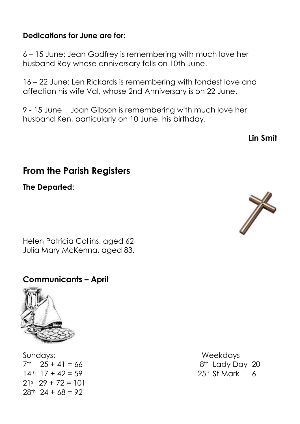#### **Dedications for June are for:**

6 – 15 June: Jean Godfrey is remembering with much love her husband Roy whose anniversary falls on 10th June.

16 – 22 June: Len Rickards is remembering with fondest love and affection his wife Val, whose 2nd Anniversary is on 22 June.

9 - 15 June Joan Gibson is remembering with much love her husband Ken, particularly on 10 June, his birthday.

**Lin Smit**

# **From the Parish Registers**

**The Departed**:

Helen Patricia Collins, aged 62 Julia Mary McKenna, aged 83.

#### **Communicants – April**



Sundays: Weekdays  $14^{\text{th}}$   $17 + 42 = 59$  25<sup>th</sup> St Mark 6 21st 29 + 72 = 101  $28^{th}$  24 + 68 = 92

 $7<sup>th</sup>$  25 + 41 = 66 8<sup>th</sup> Lady Day 20

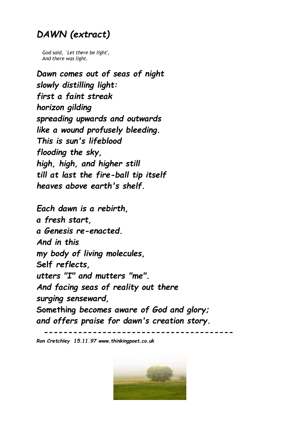# *DAWN (extract)*

 *God said, `Let there be light', And there was light.*

*Dawn comes out of seas of night slowly distilling light: first a faint streak horizon gilding spreading upwards and outwards like a wound profusely bleeding. This is sun's lifeblood flooding the sky, high, high, and higher still till at last the fire-ball tip itself heaves above earth's shelf.*

*Each dawn is a rebirth, a fresh start, a Genesis re-enacted. And in this my body of living molecules,* **Self** *reflects, utters "I" and mutters "me". And facing seas of reality out there surging senseward,* **Something** *becomes aware of God and glory; and offers praise for dawn's creation story.*

 *---------------------------------------*

*Ron Cretchley 15.11.97 www.thinkingpoet.co.uk*

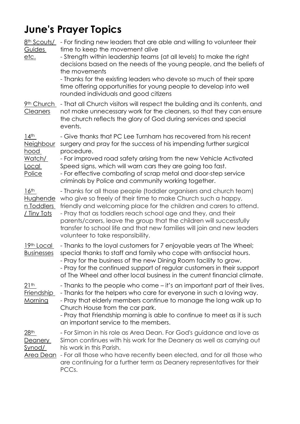# **June's Prayer Topics**

| 8 <sup>th</sup> Scouts/<br>Guides<br><u>etc.</u>                                                 | - For finding new leaders that are able and willing to volunteer their<br>time to keep the movement alive<br>- Strength within leadership teams (at all levels) to make the right<br>decisions based on the needs of the young people, and the beliefs of<br>the movements<br>- Thanks for the existing leaders who devote so much of their spare<br>time offering opportunities for young people to develop into well<br>rounded individuals and good citizens   |
|--------------------------------------------------------------------------------------------------|-------------------------------------------------------------------------------------------------------------------------------------------------------------------------------------------------------------------------------------------------------------------------------------------------------------------------------------------------------------------------------------------------------------------------------------------------------------------|
| 9th Church<br><b>Cleaners</b>                                                                    | - That all Church visitors will respect the building and its contents, and<br>not make unnecessary work for the cleaners, so that they can ensure<br>the church reflects the glory of God during services and special<br>events.                                                                                                                                                                                                                                  |
| $14$ <sup>th</sup><br><b>Neighbour</b><br><u>hood</u><br><u>Watch/</u><br><u>Local</u><br>Police | - Give thanks that PC Lee Turnham has recovered from his recent<br>surgery and pray for the success of his impending further surgical<br>procedure.<br>- For improved road safety arising from the new Vehicle Activated<br>Speed signs, which will warn cars they are going too fast.<br>- For effective combating of scrap metal and door-step service<br>criminals by Police and community working together.                                                   |
| 16 <sup>th</sup><br>Hughende<br><u>n Toddlers</u><br>/ Tiny Tots                                 | - Thanks for all those people (toddler organisers and church team)<br>who give so freely of their time to make Church such a happy,<br>friendly and welcoming place for the children and carers to attend.<br>- Pray that as toddlers reach school age and they, and their<br>parents/carers, leave the group that the children will successfully<br>transfer to school life and that new families will join and new leaders<br>volunteer to take responsibility. |
| 19th Local<br><b>Businesses</b>                                                                  | - Thanks to the loyal customers for 7 enjoyable years at The Wheel;<br>special thanks to staff and family who cope with antisocial hours.<br>- Pray for the business of the new Dining Room facility to grow.<br>- Pray for the continued support of regular customers in their support<br>of The Wheel and other local business in the current financial climate.                                                                                                |
| 21 <sup>th</sup><br><b>Friendship</b><br>Morning                                                 | - Thanks to the people who come – it's an important part of their lives.<br>- Thanks for the helpers who care for everyone in such a loving way.<br>- Pray that elderly members continue to manage the long walk up to<br>Church House from the car park.<br>- Pray that Friendship morning is able to continue to meet as it is such<br>an important service to the members.                                                                                     |
| 28 <sup>th</sup><br>Deanery<br>Synod/<br>Area Dean                                               | - For Simon in his role as Area Dean. For God's guidance and love as<br>Simon continues with his work for the Deanery as well as carrying out<br>his work in this Parish.<br>- For all those who have recently been elected, and for all those who<br>are continuing for a further term as Deanery representatives for their<br>PCCs.                                                                                                                             |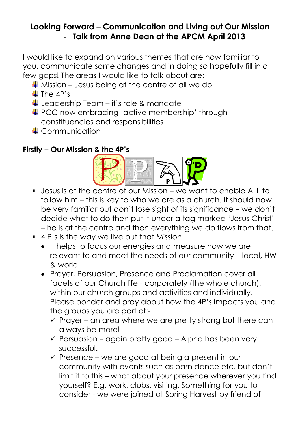## **Looking Forward – Communication and Living out Our Mission** - **Talk from Anne Dean at the APCM April 2013**

I would like to expand on various themes that are now familiar to you, communicate some changes and in doing so hopefully fill in a few gaps! The areas I would like to talk about are:-

- $\frac{1}{2}$  Mission Jesus being at the centre of all we do
- $\ddagger$  The 4P's
- $\downarrow$  Leadership Team it's role & mandate
- **PCC now embracing 'active membership' through** constituencies and responsibilities
- **Communication**

## **Firstly – Our Mission & the 4P's**



- Jesus is at the centre of our Mission we want to enable ALL to follow him – this is key to who we are as a church. It should now be very familiar but don't lose sight of its significance – we don't decide what to do then put it under a tag marked 'Jesus Christ' – he is at the centre and then everything we do flows from that.
- 4 P's is the way we live out that Mission
	- It helps to focus our energies and measure how we are relevant to and meet the needs of our community – local, HW & world.
	- Prayer, Persuasion, Presence and Proclamation cover all facets of our Church life - corporately (the whole church), within our church groups and activities and individually. Please ponder and pray about how the 4P's impacts you and the groups you are part of:-
		- $\checkmark$  Prayer an area where we are pretty strong but there can always be more!
		- $\checkmark$  Persuasion again pretty good Alpha has been very successful.
		- $\checkmark$  Presence we are good at being a present in our community with events such as barn dance etc. but don't limit it to this – what about your presence wherever you find yourself? E.g. work, clubs, visiting. Something for you to consider - we were joined at Spring Harvest by friend of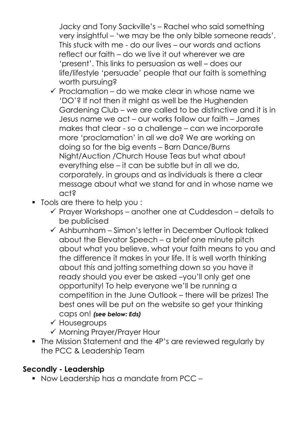Jacky and Tony Sackville's – Rachel who said something very insightful – 'we may be the only bible someone reads'. This stuck with me - do our lives – our words and actions reflect our faith – do we live it out wherever we are 'present'. This links to persuasion as well – does our life/lifestyle 'persuade' people that our faith is something worth pursuing?

- $\checkmark$  Proclamation do we make clear in whose name we 'DO'? If not then it might as well be the Hughenden Gardening Club – we are called to be distinctive and it is in Jesus name we act – our works follow our faith – James makes that clear - so a challenge – can we incorporate more 'proclamation' in all we do? We are working on doing so for the big events – Barn Dance/Burns Night/Auction /Church House Teas but what about everything else – it can be subtle but in all we do, corporately, in groups and as individuals is there a clear message about what we stand for and in whose name we act?
- Tools are there to help you :
	- $\checkmark$  Prayer Workshops another one at Cuddesdon details to be publicised
	- $\checkmark$  Ashburnham Simon's letter in December Outlook talked about the Elevator Speech – a brief one minute pitch about what you believe, what your faith means to you and the difference it makes in your life. It is well worth thinking about this and jotting something down so you have it ready should you ever be asked –you'll only get one opportunity! To help everyone we'll be running a competition in the June Outlook – there will be prizes! The best ones will be put on the website so get your thinking caps on! *(see below: Eds)*
	- $\checkmark$  Housegroups
	- $\checkmark$  Morning Prayer/Prayer Hour
- The Mission Statement and the 4P's are reviewed regularly by the PCC & Leadership Team

## **Secondly - Leadership**

■ Now Leadership has a mandate from PCC –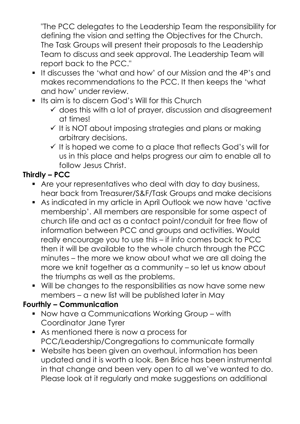"The PCC delegates to the Leadership Team the responsibility for defining the vision and setting the Objectives for the Church. The Task Groups will present their proposals to the Leadership Team to discuss and seek approval. The Leadership Team will report back to the PCC."

- It discusses the 'what and how' of our Mission and the 4P's and makes recommendations to the PCC. It then keeps the 'what and how' under review.
- **If Its aim is to discern God's Will for this Church** 
	- $\checkmark$  does this with a lot of prayer, discussion and disagreement at times!
	- $\checkmark$  It is NOT about imposing strategies and plans or making arbitrary decisions.
	- $\checkmark$  It is hoped we come to a place that reflects God's will for us in this place and helps progress our aim to enable all to follow Jesus Christ.

# **Thirdly – PCC**

- Are your representatives who deal with day to day business, hear back from Treasurer/S&F/Task Groups and make decisions
- As indicated in my article in April Outlook we now have 'active membership'. All members are responsible for some aspect of church life and act as a contact point/conduit for free flow of information between PCC and groups and activities. Would really encourage you to use this – if info comes back to PCC then it will be available to the whole church through the PCC minutes – the more we know about what we are all doing the more we knit together as a community – so let us know about the triumphs as well as the problems.
- Will be changes to the responsibilities as now have some new members – a new list will be published later in May

## **Fourthly – Communication**

- Now have a Communications Working Group with Coordinator Jane Tyrer
- As mentioned there is now a process for PCC/Leadership/Congregations to communicate formally
- Website has been given an overhaul, information has been updated and it is worth a look. Ben Brice has been instrumental in that change and been very open to all we've wanted to do. Please look at it regularly and make suggestions on additional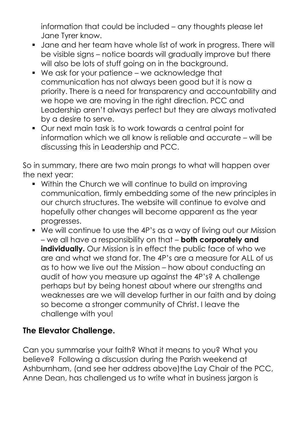information that could be included – any thoughts please let Jane Tyrer know.

- Jane and her team have whole list of work in progress. There will be visible signs – notice boards will gradually improve but there will also be lots of stuff going on in the background.
- We ask for your patience we acknowledge that communication has not always been good but it is now a priority. There is a need for transparency and accountability and we hope we are moving in the right direction. PCC and Leadership aren't always perfect but they are always motivated by a desire to serve.
- Our next main task is to work towards a central point for information which we all know is reliable and accurate – will be discussing this in Leadership and PCC.

So in summary, there are two main prongs to what will happen over the next year:

- Within the Church we will continue to build on improving communication, firmly embedding some of the new principles in our church structures. The website will continue to evolve and hopefully other changes will become apparent as the year progresses.
- We will continue to use the 4P's as a way of living out our Mission – we all have a responsibility on that – **both corporately and individually.** Our Mission is in effect the public face of who we are and what we stand for. The 4P's are a measure for ALL of us as to how we live out the Mission – how about conducting an audit of how you measure up against the 4P's? A challenge perhaps but by being honest about where our strengths and weaknesses are we will develop further in our faith and by doing so become a stronger community of Christ. I leave the challenge with you!

## **The Elevator Challenge.**

Can you summarise your faith? What it means to you? What you believe? Following a discussion during the Parish weekend at Ashburnham, (and see her address above)the Lay Chair of the PCC, Anne Dean, has challenged us to write what in business jargon is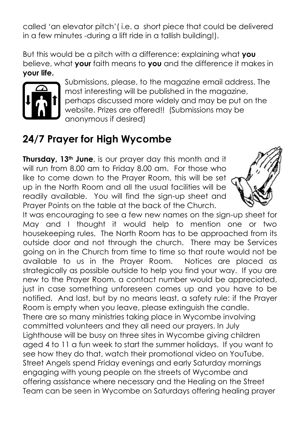called 'an elevator pitch'( i.e. a short piece that could be delivered in a few minutes -during a lift ride in a tallish building!).

But this would be a pitch with a difference: explaining what **you** believe, what **your** faith means to **you** and the difference it makes in **your life.**



Submissions, please, to the magazine email address. The most interesting will be published in the magazine, perhaps discussed more widely and may be put on the website. Prizes are offered!! (Submissions may be anonymous if desired)

# **24/7 Prayer for High Wycombe**

**Thursday, 13th June**, is our prayer day this month and it will run from 8.00 am to Friday 8.00 am. For those who like to come down to the Prayer Room, this will be set up in the North Room and all the usual facilities will be readily available. You will find the sign-up sheet and Prayer Points on the table at the back of the Church.



It was encouraging to see a few new names on the sign-up sheet for May and I thought it would help to mention one or two housekeeping rules. The North Room has to be approached from its outside door and not through the church. There may be Services going on in the Church from time to time so that route would not be available to us in the Prayer Room. Notices are placed as strategically as possible outside to help you find your way. If you are new to the Prayer Room, a contact number would be appreciated, just in case something unforeseen comes up and you have to be notified. And last, but by no means least, a safety rule: if the Prayer Room is empty when you leave, please extinguish the candle. There are so many ministries taking place in Wycombe involving committed volunteers and they all need our prayers. In July Lighthouse will be busy on three sites in Wycombe giving children aged 4 to 11 a fun week to start the summer holidays. If you want to see how they do that, watch their promotional video on YouTube. Street Angels spend Friday evenings and early Saturday mornings engaging with young people on the streets of Wycombe and offering assistance where necessary and the Healing on the Street Team can be seen in Wycombe on Saturdays offering healing prayer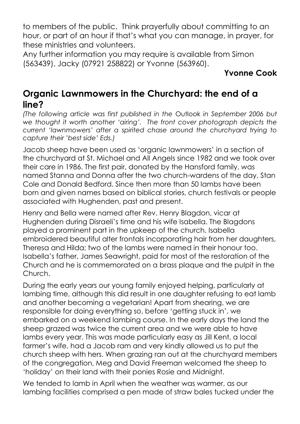to members of the public. Think prayerfully about committing to an hour, or part of an hour if that's what you can manage, in prayer, for these ministries and volunteers.

Any further information you may require is available from Simon (563439), Jacky (07921 258822) or Yvonne (563960).

# **Yvonne Cook**

# **Organic Lawnmowers in the Churchyard: the end of a line?**

*(The following article was first published in the* Outlook *in September 2006 but we thought it worth another 'airing'. The front cover photograph depicts the current 'lawnmowers' after a spirited chase around the churchyard trying to capture their 'best side' Eds.)*

Jacob sheep have been used as 'organic lawnmowers' in a section of the churchyard at St. Michael and All Angels since 1982 and we took over their care in 1986. The first pair, donated by the Hansford family, was named Stanna and Donna after the two church-wardens of the day, Stan Cole and Donald Bedford. Since then more than 50 lambs have been born and given names based on biblical stories, church festivals or people associated with Hughenden, past and present.

Henry and Bella were named after Rev. Henry Blagdon, vicar at Hughenden during Disraeli's time and his wife Isabella. The Blagdons played a prominent part in the upkeep of the church. Isabella embroidered beautiful alter frontals incorporating hair from her daughters, Theresa and Hilda; two of the lambs were named in their honour too. Isabella's father, James Seawright, paid for most of the restoration of the Church and he is commemorated on a brass plaque and the pulpit in the Church.

During the early years our young family enjoyed helping, particularly at lambing time, although this did result in one daughter refusing to eat lamb and another becoming a vegetarian! Apart from shearing, we are responsible for doing everything so, before 'getting stuck in', we embarked on a weekend lambing course. In the early days the land the sheep grazed was twice the current area and we were able to have lambs every year. This was made particularly easy as Jill Kent, a local farmer's wife, had a Jacob ram and very kindly allowed us to put the church sheep with hers. When grazing ran out at the churchyard members of the congregation, Meg and David Freeman welcomed the sheep to 'holiday' on their land with their ponies Rosie and Midnight.

We tended to lamb in April when the weather was warmer, as our lambing facilities comprised a pen made of straw bales tucked under the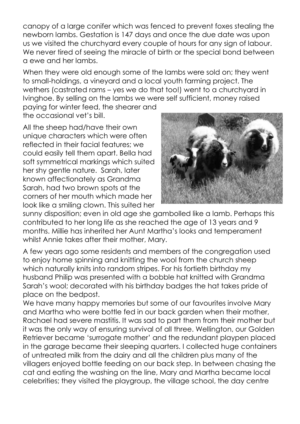canopy of a large conifer which was fenced to prevent foxes stealing the newborn lambs. Gestation is 147 days and once the due date was upon us we visited the churchyard every couple of hours for any sign of labour. We never tired of seeing the miracle of birth or the special bond between a ewe and her lambs.

When they were old enough some of the lambs were sold on; they went to small-holdings, a vineyard and a local youth farming project. The wethers (castrated rams – yes we do that too!) went to a churchyard in Ivinghoe. By selling on the lambs we were self sufficient, money raised

paying for winter feed, the shearer and the occasional vet's bill.

All the sheep had/have their own unique characters which were often reflected in their facial features; we could easily tell them apart. Bella had soft symmetrical markings which suited her shy gentle nature. Sarah, later known affectionately as Grandma Sarah, had two brown spots at the corners of her mouth which made her look like a smiling clown. This suited her



sunny disposition; even in old age she gambolled like a lamb. Perhaps this contributed to her long life as she reached the age of 13 years and 9 months. Millie has inherited her Aunt Martha's looks and temperament whilst Annie takes after their mother, Mary.

A few years ago some residents and members of the congregation used to enjoy home spinning and knitting the wool from the church sheep which naturally knits into random stripes. For his fortieth birthday my husband Philip was presented with a bobble hat knitted with Grandma Sarah's wool; decorated with his birthday badges the hat takes pride of place on the bedpost.

We have many happy memories but some of our favourites involve Mary and Martha who were bottle fed in our back garden when their mother, Rachael had severe mastitis. It was sad to part them from their mother but it was the only way of ensuring survival of all three. Wellington, our Golden Retriever became 'surrogate mother' and the redundant playpen placed in the garage became their sleeping quarters. I collected huge containers of untreated milk from the dairy and all the children plus many of the villagers enjoyed bottle feeding on our back step. In between chasing the cat and eating the washing on the line, Mary and Martha became local celebrities; they visited the playgroup, the village school, the day centre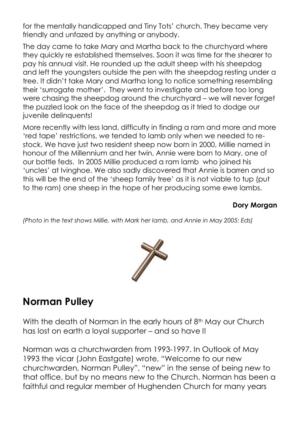for the mentally handicapped and Tiny Tots' church. They became very friendly and unfazed by anything or anybody.

The day came to take Mary and Martha back to the churchyard where they quickly re established themselves. Soon it was time for the shearer to pay his annual visit. He rounded up the adult sheep with his sheepdog and left the youngsters outside the pen with the sheepdog resting under a tree. It didn't take Mary and Martha long to notice something resembling their 'surrogate mother'. They went to investigate and before too long were chasing the sheepdog around the churchyard – we will never forget the puzzled look on the face of the sheepdog as it tried to dodge our juvenile delinquents!

More recently with less land, difficulty in finding a ram and more and more 'red tape' restrictions, we tended to lamb only when we needed to restock. We have just two resident sheep now born in 2000, Millie named in honour of the Millennium and her twin, Annie were born to Mary, one of our bottle feds. In 2005 Millie produced a ram lamb who joined his 'uncles' at Ivinghoe. We also sadly discovered that Annie is barren and so this will be the end of the 'sheep family tree' as it is not viable to tup (put to the ram) one sheep in the hope of her producing some ewe lambs.

#### **Dory Morgan**

*(Photo in the text shows Millie, with Mark her lamb, and Annie in May 2005: Eds)*



# **Norman Pulley**

With the death of Norman in the early hours of 8<sup>th</sup> May our Church has lost on earth a loyal supporter – and so have I!

Norman was a churchwarden from 1993-1997. In Outlook of May 1993 the vicar (John Eastgate) wrote, "Welcome to our new churchwarden, Norman Pulley", "new" in the sense of being new to that office, but by no means new to the Church. Norman has been a faithful and regular member of Hughenden Church for many years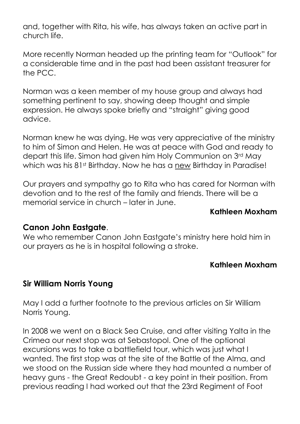and, together with Rita, his wife, has always taken an active part in church life.

More recently Norman headed up the printing team for "Outlook" for a considerable time and in the past had been assistant treasurer for the PCC.

Norman was a keen member of my house group and always had something pertinent to say, showing deep thought and simple expression. He always spoke briefly and "straight" giving good advice.

Norman knew he was dying. He was very appreciative of the ministry to him of Simon and Helen. He was at peace with God and ready to depart this life. Simon had given him Holy Communion on 3rd May which was his 81<sup>st</sup> Birthday. Now he has a new Birthday in Paradise!

Our prayers and sympathy go to Rita who has cared for Norman with devotion and to the rest of the family and friends. There will be a memorial service in church – later in June.

#### **Kathleen Moxham**

#### **Canon John Eastgate**.

We who remember Canon John Eastgate's ministry here hold him in our prayers as he is in hospital following a stroke.

#### **Kathleen Moxham**

#### **Sir William Norris Young**

May I add a further footnote to the previous articles on Sir William Norris Young.

In 2008 we went on a Black Sea Cruise, and after visiting Yalta in the Crimea our next stop was at Sebastopol. One of the optional excursions was to take a battlefield tour, which was just what I wanted. The first stop was at the site of the Battle of the Alma, and we stood on the Russian side where they had mounted a number of heavy guns - the Great Redoubt - a key point in their position. From previous reading I had worked out that the 23rd Regiment of Foot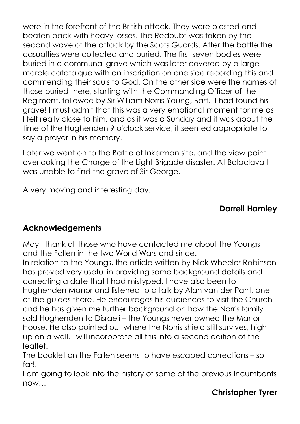were in the forefront of the British attack. They were blasted and beaten back with heavy losses. The Redoubt was taken by the second wave of the attack by the Scots Guards. After the battle the casualties were collected and buried. The first seven bodies were buried in a communal grave which was later covered by a large marble catafalque with an inscription on one side recording this and commending their souls to God. On the other side were the names of those buried there, starting with the Commanding Officer of the Regiment, followed by Sir William Norris Young, Bart. I had found his grave! I must admit that this was a very emotional moment for me as I felt really close to him, and as it was a Sunday and it was about the time of the Hughenden 9 o'clock service, it seemed appropriate to say a prayer in his memory.

Later we went on to the Battle of Inkerman site, and the view point overlooking the Charge of the Light Brigade disaster. At Balaclava I was unable to find the grave of Sir George.

A very moving and interesting day.

# **Darrell Hamley**

# **Acknowledgements**

May I thank all those who have contacted me about the Youngs and the Fallen in the two World Wars and since.

In relation to the Youngs, the article written by Nick Wheeler Robinson has proved very useful in providing some background details and correcting a date that I had mistyped. I have also been to Hughenden Manor and listened to a talk by Alan van der Pant, one of the guides there. He encourages his audiences to visit the Church and he has given me further background on how the Norris family sold Hughenden to Disraeli – the Youngs never owned the Manor House. He also pointed out where the Norris shield still survives, high up on a wall. I will incorporate all this into a second edition of the leaflet.

The booklet on the Fallen seems to have escaped corrections – so far!!

I am going to look into the history of some of the previous Incumbents now…

## **Christopher Tyrer**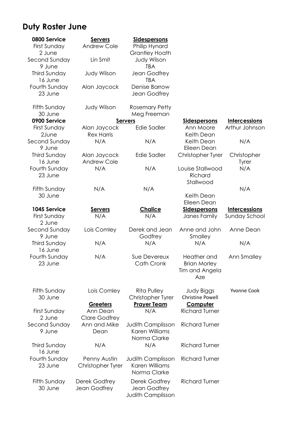# **Duty Roster June**

| 0800 Service                           | <b>Servers</b>                     | <b>Sidespersons</b>                                        |                                                             |                                       |
|----------------------------------------|------------------------------------|------------------------------------------------------------|-------------------------------------------------------------|---------------------------------------|
| First Sunday<br>2 June                 | <b>Andrew Cole</b>                 | Philip Hynard<br><b>Grantley Hoath</b>                     |                                                             |                                       |
| Second Sunday<br>9 June                | Lin Smit                           | <b>Judy Wilson</b><br><b>TBA</b>                           |                                                             |                                       |
| <b>Third Sunday</b><br>16 June         | <b>Judy Wilson</b>                 | Jean Godfrey<br><b>TBA</b>                                 |                                                             |                                       |
| Fourth Sunday<br>23 June               | Alan Jaycock                       | Denise Barrow<br>Jean Godfrey                              |                                                             |                                       |
| Fifth Sunday<br>30 June                | Judy Wilson                        | <b>Rosemary Petty</b><br>Meg Freeman                       |                                                             |                                       |
| 0900 Service                           |                                    | <b>Servers</b>                                             | <b>Sidespersons</b>                                         | <b>Intercessions</b>                  |
| First Sunday<br>2June                  | Alan Jaycock<br><b>Rex Harris</b>  | <b>Edie Sadler</b>                                         | Ann Moore<br>Keith Dean                                     | Arthur Johnson                        |
| Second Sunday<br>9 June                | N/A                                | N/A                                                        | Keith Dean<br>Eileen Dean                                   | N/A                                   |
| <b>Third Sunday</b><br>16 June         | Alan Jaycock<br><b>Andrew Cole</b> | <b>Edie Sadler</b>                                         | Christopher Tyrer                                           | Christopher<br>Tyrer                  |
| Fourth Sunday<br>23 June               | N/A                                | N/A                                                        | Louise Stallwood<br>Richard<br>Stallwood                    | N/A                                   |
| Fifth Sunday<br>30 June                | N/A                                | N/A                                                        | Keith Dean                                                  | N/A                                   |
|                                        |                                    |                                                            | Eileen Dean                                                 |                                       |
| 1045 Service<br>First Sunday<br>2 June | <b>Servers</b><br>N/A              | <b>Chalice</b><br>N/A                                      | <b>Sidespersons</b><br>Janes Family                         | <b>Intercessions</b><br>Sunday School |
| Second Sunday<br>9 June                | Lois Comley                        | Derek and Jean<br>Godfrey                                  | Anne and John<br>Smalley                                    | Anne Dean                             |
| <b>Third Sunday</b><br>16 June         | N/A                                | N/A                                                        | N/A                                                         | N/A                                   |
| Fourth Sunday<br>23 June               | N/A                                | Sue Devereux<br>Cath Cronk                                 | Heather and<br><b>Brian Morley</b><br>Tim and Angela<br>Aze | Ann Smalley                           |
| Fifth Sunday<br>30 June                | Lois Comley                        | Rita Pulley<br>Christopher Tyrer                           | Judy Biggs<br><b>Christine Powell</b>                       | <b>Yvonne Cook</b>                    |
|                                        | <b>Greeters</b>                    | <b>Prayer Team</b>                                         | <b>Computer</b>                                             |                                       |
| First Sunday                           | Ann Dean                           | N/A                                                        | <b>Richard Turner</b>                                       |                                       |
| 2 June                                 | <b>Clare Godfrey</b>               |                                                            |                                                             |                                       |
| Second Sunday<br>9 June                | Ann and Mike<br>Dean               | <b>Judith Camplisson</b><br>Karen Williams<br>Norma Clarke | <b>Richard Turner</b>                                       |                                       |
| Third Sunday<br>16 June                | N/A                                | N/A                                                        | <b>Richard Turner</b>                                       |                                       |
| Fourth Sunday<br>23 June               | Penny Austin<br>Christopher Tyrer  | Judith Camplisson<br>Karen Williams<br>Norma Clarke        | <b>Richard Turner</b>                                       |                                       |
| Fifth Sunday<br>30 June                | Derek Godfrey<br>Jean Godfrey      | Derek Godfrey<br>Jean Godfrey<br><b>Judith Camplisson</b>  | <b>Richard Turner</b>                                       |                                       |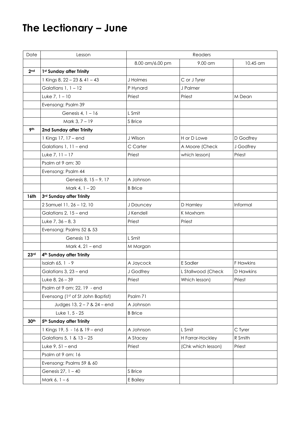# **The Lectionary – June**

| Date             | Lesson                            | Readers         |                    |           |
|------------------|-----------------------------------|-----------------|--------------------|-----------|
|                  |                                   | 8.00 am/6.00 pm | 9.00 am            | 10.45 am  |
| 2 <sub>nd</sub>  | 1st Sunday after Trinity          |                 |                    |           |
|                  | 1 Kings 8, 22 - 23 & 41 - 43      | J Holmes        | C or J Tyrer       |           |
|                  | Galatians 1, 1 - 12               | P Hynard        | J Palmer           |           |
|                  | Luke $7, 1 - 10$                  | Priest          | Priest             | M Dean    |
|                  | Evensong: Psalm 39                |                 |                    |           |
|                  | Genesis $4, 1 - 16$               | L Smit          |                    |           |
|                  | Mark 3, 7 - 19                    | S Brice         |                    |           |
| 9 <sup>th</sup>  | 2nd Sunday after Trinity          |                 |                    |           |
|                  | 1 Kings 17, 17 - end              | J Wilson        | H or D Lowe        | D Godfrey |
|                  | Galatians 1, 11 - end             | C Carter        | A Moore (Check     | J Godfrey |
|                  | Luke $7, 11 - 17$                 | Priest          | which lesson)      | Priest    |
|                  | Psalm at 9 am: 30                 |                 |                    |           |
|                  | Evensong: Psalm 44                |                 |                    |           |
|                  | Genesis 8, 15 - 9, 17             | A Johnson       |                    |           |
|                  | Mark 4, 1 - 20                    | <b>B</b> Brice  |                    |           |
| 16th             | 3rd Sunday after Trinity          |                 |                    |           |
|                  | 2 Samuel 11, 26 - 12, 10          | J Dauncey       | D Hamley           | Informal  |
|                  | Galatians 2, 15 - end             | J Kendell       | K Moxham           |           |
|                  | Luke $7, 36 - 8, 3$               | Priest          | Priest             |           |
|                  | Evensong: Psalms 52 & 53          |                 |                    |           |
|                  | Genesis 13                        | L Smit          |                    |           |
|                  | Mark 4, 21 – end                  | M Morgan        |                    |           |
| 23rd             | 4th Sunday after Trinity          |                 |                    |           |
|                  | Isaiah 65, 1 - 9                  | A Jaycock       | E Sadler           | F Hawkins |
|                  | Galatians 3, 23 – end             | J Godfrey       | L Stallwood (Check | D Hawkins |
|                  | Luke $8, 26 - 39$                 | Priest          | Which lesson)      | Priest    |
|                  | Psalm at 9 am: 22, 19 - end       |                 |                    |           |
|                  | Evensong (1st of St John Baptist) | Psalm 71        |                    |           |
|                  | Judges 13, 2 - 7 & 24 - end       | A Johnson       |                    |           |
|                  | Luke 1, 5 - 25                    | <b>B</b> Brice  |                    |           |
| 30 <sup>th</sup> | 5th Sunday after Trinity          |                 |                    |           |
|                  | 1 Kings 19, 5 - 16 & 19 - end     | A Johnson       | L Smit             | C Tyrer   |
|                  | Galatians 5, 1 & 13 - 25          | A Stacey        | H Farrar-Hockley   | R Smith   |
|                  | Luke $9, 51 - end$                | Priest          | (Chk which lesson) | Priest    |
|                  | Psalm at 9 am: 16                 |                 |                    |           |
|                  | Evensong: Psalms 59 & 60          |                 |                    |           |
|                  | Genesis 27, 1 - 40                | S Brice         |                    |           |
|                  | Mark $6, 1 - 6$                   | E Bailey        |                    |           |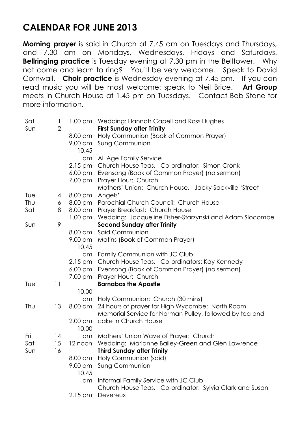# **CALENDAR FOR JUNE 2013**

**Morning prayer** is said in Church at 7.45 am on Tuesdays and Thursdays, and 7.30 am on Mondays, Wednesdays, Fridays and Saturdays. **Bellringing practice** is Tuesday evening at 7.30 pm in the Belltower. Why not come and learn to ring? You'll be very welcome. Speak to David Cornwall. **Choir practice** is Wednesday evening at 7.45 pm. If you can read music you will be most welcome: speak to Neil Brice. **Art Group** meets in Church House at 1.45 pm on Tuesdays. Contact Bob Stone for more information.

| Sat<br>Sun | 1<br>$\overline{2}$ |                      | 1.00 pm Wedding: Hannah Capell and Ross Hughes<br><b>First Sunday after Trinity</b>       |
|------------|---------------------|----------------------|-------------------------------------------------------------------------------------------|
|            |                     | 8.00 am              | Holy Communion (Book of Common Prayer)                                                    |
|            |                     | 9.00 am<br>10.45     | <b>Sung Communion</b>                                                                     |
|            |                     | am                   | All Age Family Service                                                                    |
|            |                     | $2.15 \,\mathrm{pm}$ | Church House Teas. Co-ordinator: Simon Cronk                                              |
|            |                     | $6.00 \text{ pm}$    | Evensong (Book of Common Prayer) (no sermon)                                              |
|            |                     | 7.00 pm              | Prayer Hour: Church                                                                       |
|            |                     |                      | Mothers' Union: Church House. Jacky Sackville 'Street                                     |
| Tue        | 4                   | 8.00 pm              | Angels'                                                                                   |
| Thu        | 6                   | 8.00 pm              | Parochial Church Council: Church House                                                    |
| Sat        | 8                   | 8.00 am              | Prayer Breakfast: Church House                                                            |
|            |                     | $1.00 \text{ pm}$    | Wedding: Jacqueline Fisher-Starzynski and Adam Slocombe                                   |
| Sun        | 9                   |                      | <b>Second Sunday after Trinity</b>                                                        |
|            |                     | 8.00 am              | Said Communion                                                                            |
|            |                     | 9.00 am              | Matins (Book of Common Prayer)                                                            |
|            |                     | 10.45                |                                                                                           |
|            |                     | am                   | Family Communion with JC Club                                                             |
|            |                     | $2.15 \,\mathrm{pm}$ | Church House Teas. Co-ordinators: Kay Kennedy                                             |
|            |                     | $6.00 \text{ pm}$    | Evensong (Book of Common Prayer) (no sermon)                                              |
|            |                     | 7.00 pm              | Prayer Hour: Church                                                                       |
| Tue        | 11                  |                      | <b>Barnabas the Apostle</b>                                                               |
|            |                     | 10.00                |                                                                                           |
|            |                     | am                   | Holy Communion: Church (30 mins)                                                          |
| Thu        | 13                  | 8.00 am              | 24 hours of prayer for High Wycombe: North Room                                           |
|            |                     |                      | Memorial Service for Norman Pulley, followed by tea and                                   |
|            |                     | $2.00 \text{ pm}$    | cake in Church House                                                                      |
| Fri        | 4                   | 10.00                |                                                                                           |
| Sat        | 15                  | am<br>12 noon        | Mothers' Union Wave of Prayer: Church<br>Wedding: Marianne Bailey-Green and Glen Lawrence |
| Sun        | 16                  |                      | <b>Third Sunday after Trinity</b>                                                         |
|            |                     | 8.00 am              | Holy Communion (said)                                                                     |
|            |                     | 9.00 am              | <b>Sung Communion</b>                                                                     |
|            |                     | 10.45                |                                                                                           |
|            |                     | am                   | Informal Family Service with JC Club                                                      |
|            |                     |                      | Church House Teas. Co-ordinator: Sylvia Clark and Susan                                   |
|            |                     | $2.15 \,\mathrm{pm}$ | Devereux                                                                                  |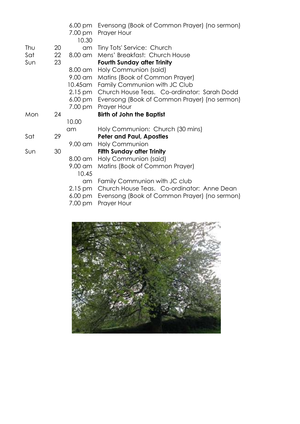|     |    | $6.00 \text{ pm}$<br>7.00 pm<br>10.30 | Evensong (Book of Common Prayer) (no sermon)<br><b>Prayer Hour</b> |
|-----|----|---------------------------------------|--------------------------------------------------------------------|
| Thu | 20 | am                                    | Tiny Tots' Service: Church                                         |
| Sat | 22 | 8.00 am                               | Mens' Breakfast: Church House                                      |
| Sun | 23 |                                       | <b>Fourth Sunday after Trinity</b>                                 |
|     |    | $8.00 \text{ cm}$                     | Holy Communion (said)                                              |
|     |    | 9.00 am                               | Matins (Book of Common Prayer)                                     |
|     |    |                                       | 10.45am Family Communion with JC Club                              |
|     |    | $2.15 \,\mathrm{pm}$                  | Church House Teas. Co-ordinator: Sarah Dodd                        |
|     |    | $6.00 \text{ pm}$                     | Evensong (Book of Common Prayer) (no sermon)                       |
|     |    | 7.00 pm                               | Prayer Hour                                                        |
| Mon | 24 |                                       | <b>Birth of John the Baptist</b>                                   |
|     |    | 10.00                                 |                                                                    |
|     |    | am                                    | Holy Communion: Church (30 mins)                                   |
| Sat | 29 |                                       | <b>Peter and Paul, Apostles</b>                                    |
|     |    | 9.00 am                               | <b>Holy Communion</b>                                              |
| Sun | 30 |                                       | <b>Fifth Sunday after Trinity</b>                                  |
|     |    | $8.00 \text{ cm}$                     | Holy Communion (said)                                              |
|     |    | $9.00 \text{ cm}$                     | Matins (Book of Common Prayer)                                     |
|     |    | 10.45                                 |                                                                    |
|     |    | am                                    | Family Communion with JC club                                      |
|     |    | $2.15 \,\mathrm{pm}$                  | Church House Teas. Co-ordinator: Anne Dean                         |
|     |    | $6.00 \text{ pm}$                     | Evensong (Book of Common Prayer) (no sermon)                       |
|     |    | 7.00 pm                               | Prayer Hour                                                        |

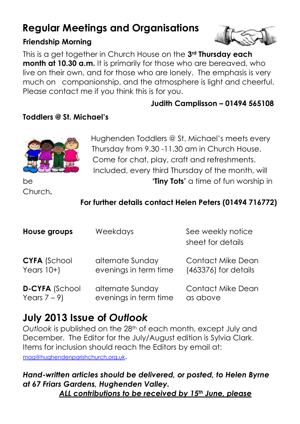# **Regular Meetings and Organisations**

#### **Friendship Morning**



This is a get together in Church House on the **3rd Thursday each month at 10.30 a.m.** It is primarily for those who are bereaved, who live on their own, and for those who are lonely. The emphasis is very much on companionship, and the atmosphere is light and cheerful. Please contact me if you think this is for you.

 **Judith Camplisson – 01494 565108**

#### **Toddlers @ St. Michael's**



Hughenden Toddlers @ St. Michael's meets every Thursday from 9.30 -11.30 am in Church House. Come for chat, play, craft and refreshments. Included, every third Thursday of the month, will be **the contract of the set of the set of the set of function of function**  $\mathbf{C}$  **time of function**  $\mathbf{C}$  **in**  $\mathbf{C}$ 

Church**.**

## **For further details contact Helen Peters (01494 716772)**

| House groups          | Weekdays              | See weekly notice<br>sheet for details |
|-----------------------|-----------------------|----------------------------------------|
| <b>CYFA (School</b>   | alternate Sunday      | <b>Contact Mike Dean</b>               |
| Years $10+$           | evenings in term time | (463376) for details                   |
| <b>D-CYFA (School</b> | alternate Sunday      | <b>Contact Mike Dean</b>               |
| Years $7-9$           | evenings in term time | as above                               |

# **July 2013 Issue of** *Outlook*

*Outlook* is published on the 28th of each month, except July and December. The Editor for the July/August edition is Sylvia Clark. Items for inclusion should reach the Editors by email at: [mag@hughendenparishchurch.org.uk](mailto:mag@hughendenparishchurch.org.uk).

# *Hand-written articles should be delivered, or posted, to Helen Byrne at 67 Friars Gardens, Hughenden Valley.*

*ALL contributions to be received by 15th June, please*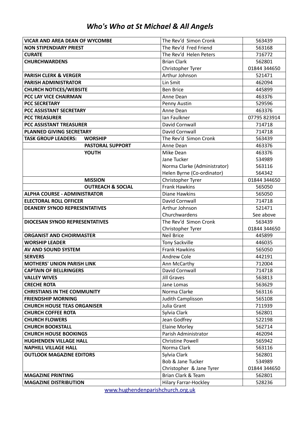|  |  |  | Who's Who at St Michael & All Angels |  |  |  |
|--|--|--|--------------------------------------|--|--|--|
|--|--|--|--------------------------------------|--|--|--|

| <b>VICAR AND AREA DEAN OF WYCOMBE</b>        | The Rev'd Simon Cronk        | 563439       |
|----------------------------------------------|------------------------------|--------------|
| <b>NON STIPENDIARY PRIEST</b>                | The Rev'd Fred Friend        | 563168       |
| <b>CURATE</b>                                | The Rev'd Helen Peters       | 716772       |
| <b>CHURCHWARDENS</b>                         | <b>Brian Clark</b>           | 562801       |
|                                              | Christopher Tyrer            | 01844 344650 |
| <b>PARISH CLERK &amp; VERGER</b>             | Arthur Johnson               | 521471       |
| PARISH ADMINISTRATOR                         | Lin Smit                     | 462094       |
| <b>CHURCH NOTICES/WEBSITE</b>                | <b>Ben Brice</b>             | 445899       |
| PCC LAY VICE CHAIRMAN                        | Anne Dean                    | 463376       |
| <b>PCC SECRETARY</b>                         | Penny Austin                 | 529596       |
| PCC ASSISTANT SECRETARY                      | Anne Dean                    | 463376       |
| <b>PCC TREASURER</b>                         | Ian Faulkner                 | 07795 823914 |
| <b>PCC ASSISTANT TREASURER</b>               | David Cornwall               | 714718       |
| PLANNED GIVING SECRETARY                     | David Cornwall               | 714718       |
| <b>TASK GROUP LEADERS:</b><br><b>WORSHIP</b> | The Rev'd Simon Cronk        | 563439       |
| <b>PASTORAL SUPPORT</b>                      | Anne Dean                    | 463376       |
| <b>YOUTH</b>                                 | Mike Dean                    | 463376       |
|                                              | Jane Tucker                  | 534989       |
|                                              | Norma Clarke (Administrator) | 563116       |
|                                              | Helen Byrne (Co-ordinator)   | 564342       |
| <b>MISSION</b>                               | Christopher Tyrer            | 01844 344650 |
| <b>OUTREACH &amp; SOCIAL</b>                 | <b>Frank Hawkins</b>         | 565050       |
| <b>ALPHA COURSE - ADMINISTRATOR</b>          | <b>Diane Hawkins</b>         | 565050       |
| <b>ELECTORAL ROLL OFFICER</b>                | David Cornwall               | 714718       |
| <b>DEANERY SYNOD REPRESENTATIVES</b>         | Arthur Johnson               | 521471       |
|                                              | Churchwardens                | See above    |
| <b>DIOCESAN SYNOD REPRESENTATIVES</b>        | The Rev'd Simon Cronk        | 563439       |
|                                              | Christopher Tyrer            | 01844 344650 |
| <b>ORGANIST AND CHOIRMASTER</b>              | <b>Neil Brice</b>            | 445899       |
| <b>WORSHIP LEADER</b>                        | <b>Tony Sackville</b>        | 446035       |
| AV AND SOUND SYSTEM                          | <b>Frank Hawkins</b>         | 565050       |
| <b>SERVERS</b>                               | Andrew Cole                  | 442191       |
| <b>MOTHERS' UNION PARISH LINK</b>            | Ann McCarthy                 | 712004       |
| <b>CAPTAIN OF BELLRINGERS</b>                | David Cornwall               | 714718       |
| <b>VALLEY WIVES</b>                          | <b>Jill Graves</b>           | 563813       |
| <b>CRECHE ROTA</b>                           | Jane Lomas                   | 563629       |
| <b>CHRISTIANS IN THE COMMUNITY</b>           | Norma Clarke                 | 563116       |
| <b>FRIENDSHIP MORNING</b>                    | Judith Camplisson            | 565108       |
| <b>CHURCH HOUSE TEAS ORGANISER</b>           | Julia Grant                  | 711939       |
| <b>CHURCH COFFEE ROTA</b>                    | Sylvia Clark                 | 562801       |
| <b>CHURCH FLOWERS</b>                        | Jean Godfrey                 | 522198       |
| <b>CHURCH BOOKSTALL</b>                      | <b>Elaine Morley</b>         | 562714       |
| <b>CHURCH HOUSE BOOKINGS</b>                 | Parish Administrator         | 462094       |
| HUGHENDEN VILLAGE HALL                       | <b>Christine Powell</b>      | 565942       |
| <b>NAPHILL VILLAGE HALL</b>                  | Norma Clark                  | 563116       |
| <b>OUTLOOK MAGAZINE EDITORS</b>              | Sylvia Clark                 | 562801       |
|                                              | Bob & Jane Tucker            | 534989       |
|                                              | Christopher & Jane Tyrer     | 01844 344650 |
| <b>MAGAZINE PRINTING</b>                     | Brian Clark & Team           | 562801       |
| <b>MAGAZINE DISTRIBUTION</b>                 | Hilary Farrar-Hockley        | 528236       |